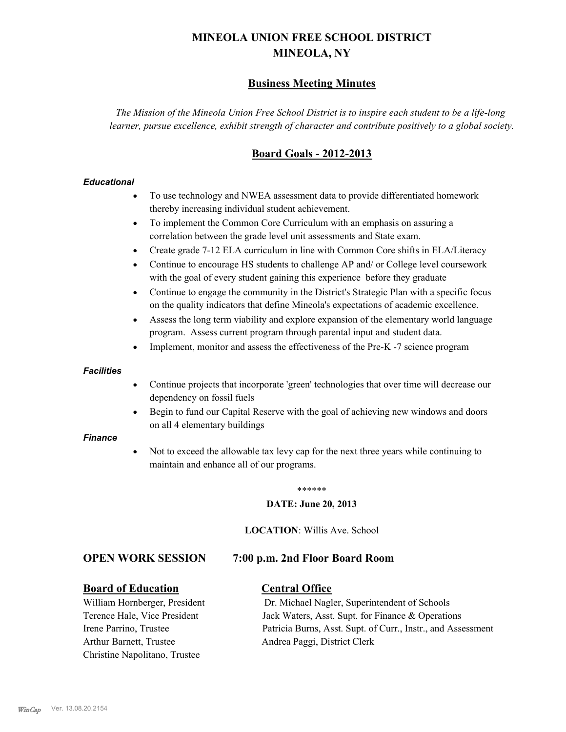# **MINEOLA UNION FREE SCHOOL DISTRICT MINEOLA, NY**

# **Business Meeting Minutes**

*The Mission of the Mineola Union Free School District is to inspire each student to be a life-long learner, pursue excellence, exhibit strength of character and contribute positively to a global society.*

# **Board Goals - 2012-2013**

### *Educational*

- · To use technology and NWEA assessment data to provide differentiated homework thereby increasing individual student achievement.
- · To implement the Common Core Curriculum with an emphasis on assuring a correlation between the grade level unit assessments and State exam.
- Create grade 7-12 ELA curriculum in line with Common Core shifts in ELA/Literacy
- Continue to encourage HS students to challenge AP and/ or College level coursework with the goal of every student gaining this experience before they graduate
- · Continue to engage the community in the District's Strategic Plan with a specific focus on the quality indicators that define Mineola's expectations of academic excellence.
- Assess the long term viability and explore expansion of the elementary world language program. Assess current program through parental input and student data.
- Implement, monitor and assess the effectiveness of the Pre-K -7 science program

### *Facilities*

- · Continue projects that incorporate 'green' technologies that over time will decrease our dependency on fossil fuels
- · Begin to fund our Capital Reserve with the goal of achieving new windows and doors on all 4 elementary buildings

### *Finance*

Not to exceed the allowable tax levy cap for the next three years while continuing to maintain and enhance all of our programs.

### \*\*\*\*\*\*

### **DATE: June 20, 2013**

**LOCATION**: Willis Ave. School

### **OPEN WORK SESSION 7:00 p.m. 2nd Floor Board Room**

### **Board of Education Central Office**

Arthur Barnett, Trustee Andrea Paggi, District Clerk Christine Napolitano, Trustee

William Hornberger, President Dr. Michael Nagler, Superintendent of Schools Terence Hale, Vice President Jack Waters, Asst. Supt. for Finance & Operations Irene Parrino, Trustee Patricia Burns, Asst. Supt. of Curr., Instr., and Assessment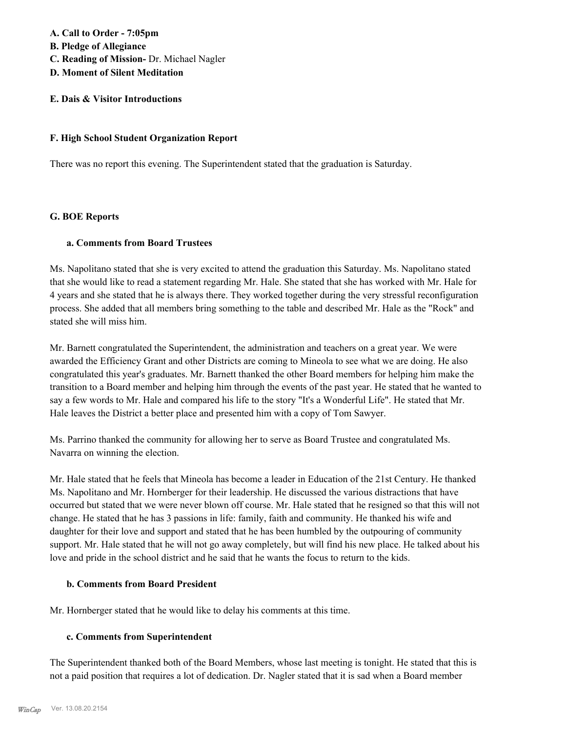# **A. Call to Order - 7:05pm B. Pledge of Allegiance C. Reading of Mission-** Dr. Michael Nagler **D. Moment of Silent Meditation**

## **E. Dais & Visitor Introductions**

### **F. High School Student Organization Report**

There was no report this evening. The Superintendent stated that the graduation is Saturday.

### **G. BOE Reports**

### **a. Comments from Board Trustees**

Ms. Napolitano stated that she is very excited to attend the graduation this Saturday. Ms. Napolitano stated that she would like to read a statement regarding Mr. Hale. She stated that she has worked with Mr. Hale for 4 years and she stated that he is always there. They worked together during the very stressful reconfiguration process. She added that all members bring something to the table and described Mr. Hale as the "Rock" and stated she will miss him.

Mr. Barnett congratulated the Superintendent, the administration and teachers on a great year. We were awarded the Efficiency Grant and other Districts are coming to Mineola to see what we are doing. He also congratulated this year's graduates. Mr. Barnett thanked the other Board members for helping him make the transition to a Board member and helping him through the events of the past year. He stated that he wanted to say a few words to Mr. Hale and compared his life to the story "It's a Wonderful Life". He stated that Mr. Hale leaves the District a better place and presented him with a copy of Tom Sawyer.

Ms. Parrino thanked the community for allowing her to serve as Board Trustee and congratulated Ms. Navarra on winning the election.

Mr. Hale stated that he feels that Mineola has become a leader in Education of the 21st Century. He thanked Ms. Napolitano and Mr. Hornberger for their leadership. He discussed the various distractions that have occurred but stated that we were never blown off course. Mr. Hale stated that he resigned so that this will not change. He stated that he has 3 passions in life: family, faith and community. He thanked his wife and daughter for their love and support and stated that he has been humbled by the outpouring of community support. Mr. Hale stated that he will not go away completely, but will find his new place. He talked about his love and pride in the school district and he said that he wants the focus to return to the kids.

### **b. Comments from Board President**

Mr. Hornberger stated that he would like to delay his comments at this time.

### **c. Comments from Superintendent**

The Superintendent thanked both of the Board Members, whose last meeting is tonight. He stated that this is not a paid position that requires a lot of dedication. Dr. Nagler stated that it is sad when a Board member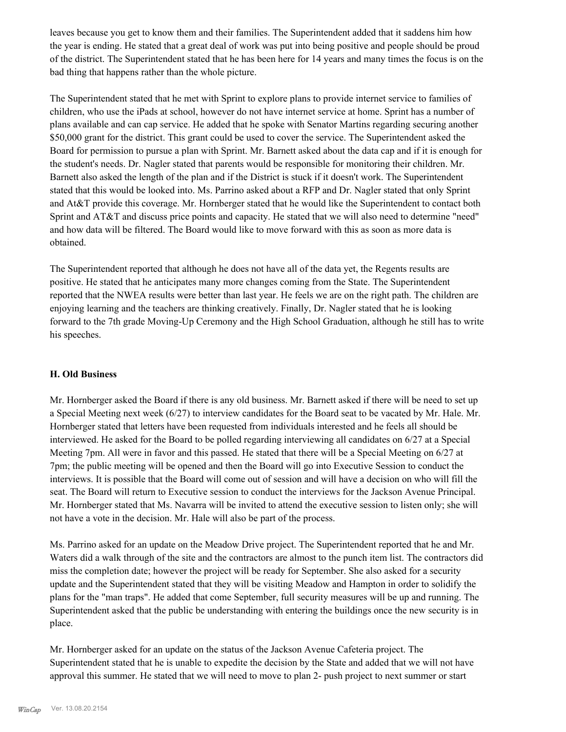leaves because you get to know them and their families. The Superintendent added that it saddens him how the year is ending. He stated that a great deal of work was put into being positive and people should be proud of the district. The Superintendent stated that he has been here for 14 years and many times the focus is on the bad thing that happens rather than the whole picture.

The Superintendent stated that he met with Sprint to explore plans to provide internet service to families of children, who use the iPads at school, however do not have internet service at home. Sprint has a number of plans available and can cap service. He added that he spoke with Senator Martins regarding securing another \$50,000 grant for the district. This grant could be used to cover the service. The Superintendent asked the Board for permission to pursue a plan with Sprint. Mr. Barnett asked about the data cap and if it is enough for the student's needs. Dr. Nagler stated that parents would be responsible for monitoring their children. Mr. Barnett also asked the length of the plan and if the District is stuck if it doesn't work. The Superintendent stated that this would be looked into. Ms. Parrino asked about a RFP and Dr. Nagler stated that only Sprint and At&T provide this coverage. Mr. Hornberger stated that he would like the Superintendent to contact both Sprint and AT&T and discuss price points and capacity. He stated that we will also need to determine "need" and how data will be filtered. The Board would like to move forward with this as soon as more data is obtained.

The Superintendent reported that although he does not have all of the data yet, the Regents results are positive. He stated that he anticipates many more changes coming from the State. The Superintendent reported that the NWEA results were better than last year. He feels we are on the right path. The children are enjoying learning and the teachers are thinking creatively. Finally, Dr. Nagler stated that he is looking forward to the 7th grade Moving-Up Ceremony and the High School Graduation, although he still has to write his speeches.

### **H. Old Business**

Mr. Hornberger asked the Board if there is any old business. Mr. Barnett asked if there will be need to set up a Special Meeting next week (6/27) to interview candidates for the Board seat to be vacated by Mr. Hale. Mr. Hornberger stated that letters have been requested from individuals interested and he feels all should be interviewed. He asked for the Board to be polled regarding interviewing all candidates on 6/27 at a Special Meeting 7pm. All were in favor and this passed. He stated that there will be a Special Meeting on 6/27 at 7pm; the public meeting will be opened and then the Board will go into Executive Session to conduct the interviews. It is possible that the Board will come out of session and will have a decision on who will fill the seat. The Board will return to Executive session to conduct the interviews for the Jackson Avenue Principal. Mr. Hornberger stated that Ms. Navarra will be invited to attend the executive session to listen only; she will not have a vote in the decision. Mr. Hale will also be part of the process.

Ms. Parrino asked for an update on the Meadow Drive project. The Superintendent reported that he and Mr. Waters did a walk through of the site and the contractors are almost to the punch item list. The contractors did miss the completion date; however the project will be ready for September. She also asked for a security update and the Superintendent stated that they will be visiting Meadow and Hampton in order to solidify the plans for the "man traps". He added that come September, full security measures will be up and running. The Superintendent asked that the public be understanding with entering the buildings once the new security is in place.

Mr. Hornberger asked for an update on the status of the Jackson Avenue Cafeteria project. The Superintendent stated that he is unable to expedite the decision by the State and added that we will not have approval this summer. He stated that we will need to move to plan 2- push project to next summer or start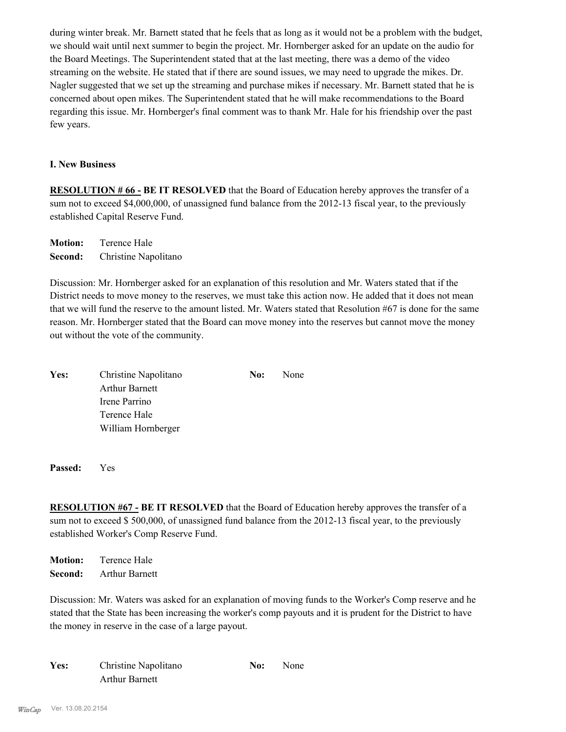during winter break. Mr. Barnett stated that he feels that as long as it would not be a problem with the budget, we should wait until next summer to begin the project. Mr. Hornberger asked for an update on the audio for the Board Meetings. The Superintendent stated that at the last meeting, there was a demo of the video streaming on the website. He stated that if there are sound issues, we may need to upgrade the mikes. Dr. Nagler suggested that we set up the streaming and purchase mikes if necessary. Mr. Barnett stated that he is concerned about open mikes. The Superintendent stated that he will make recommendations to the Board regarding this issue. Mr. Hornberger's final comment was to thank Mr. Hale for his friendship over the past few years.

### **I. New Business**

**RESOLUTION # 66 - BE IT RESOLVED** that the Board of Education hereby approves the transfer of a sum not to exceed \$4,000,000, of unassigned fund balance from the 2012-13 fiscal year, to the previously established Capital Reserve Fund.

**Motion:** Terence Hale **Second:** Christine Napolitano

Discussion: Mr. Hornberger asked for an explanation of this resolution and Mr. Waters stated that if the District needs to move money to the reserves, we must take this action now. He added that it does not mean that we will fund the reserve to the amount listed. Mr. Waters stated that Resolution #67 is done for the same reason. Mr. Hornberger stated that the Board can move money into the reserves but cannot move the money out without the vote of the community.

| Yes: | Christine Napolitano  | No: | None |
|------|-----------------------|-----|------|
|      | <b>Arthur Barnett</b> |     |      |
|      | Irene Parrino         |     |      |
|      | Terence Hale          |     |      |
|      | William Hornberger    |     |      |

**Passed:** Yes

**RESOLUTION #67 - BE IT RESOLVED** that the Board of Education hereby approves the transfer of a sum not to exceed \$ 500,000, of unassigned fund balance from the 2012-13 fiscal year, to the previously established Worker's Comp Reserve Fund.

**Motion:** Terence Hale **Second:** Arthur Barnett

Discussion: Mr. Waters was asked for an explanation of moving funds to the Worker's Comp reserve and he stated that the State has been increasing the worker's comp payouts and it is prudent for the District to have the money in reserve in the case of a large payout.

| Christine Napolitano<br>Yes: |                       | No: | None |
|------------------------------|-----------------------|-----|------|
|                              | <b>Arthur Barnett</b> |     |      |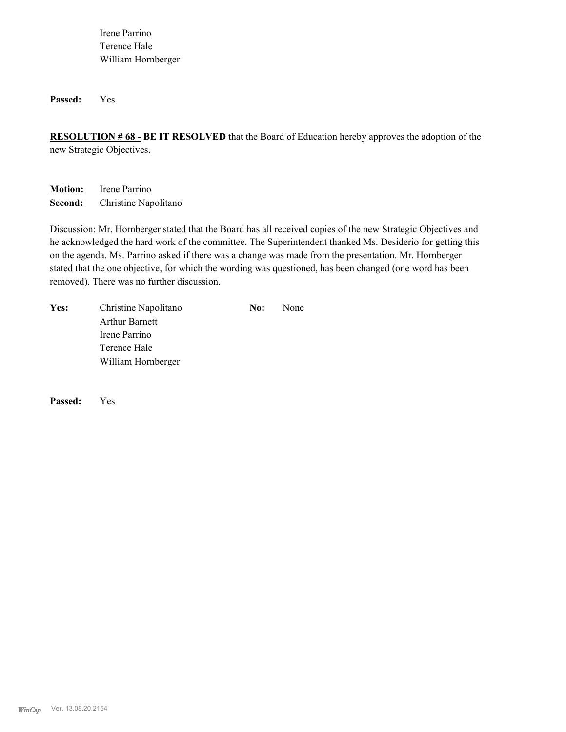Irene Parrino Terence Hale William Hornberger

**Passed:** Yes

**RESOLUTION # 68 - BE IT RESOLVED** that the Board of Education hereby approves the adoption of the new Strategic Objectives.

**Motion:** Irene Parrino **Second:** Christine Napolitano

Discussion: Mr. Hornberger stated that the Board has all received copies of the new Strategic Objectives and he acknowledged the hard work of the committee. The Superintendent thanked Ms. Desiderio for getting this on the agenda. Ms. Parrino asked if there was a change was made from the presentation. Mr. Hornberger stated that the one objective, for which the wording was questioned, has been changed (one word has been removed). There was no further discussion.

| Yes: | Christine Napolitano  | No: | <b>None</b> |
|------|-----------------------|-----|-------------|
|      | <b>Arthur Barnett</b> |     |             |
|      | Irene Parrino         |     |             |
|      | Terence Hale          |     |             |
|      | William Hornberger    |     |             |
|      |                       |     |             |

**Passed:** Yes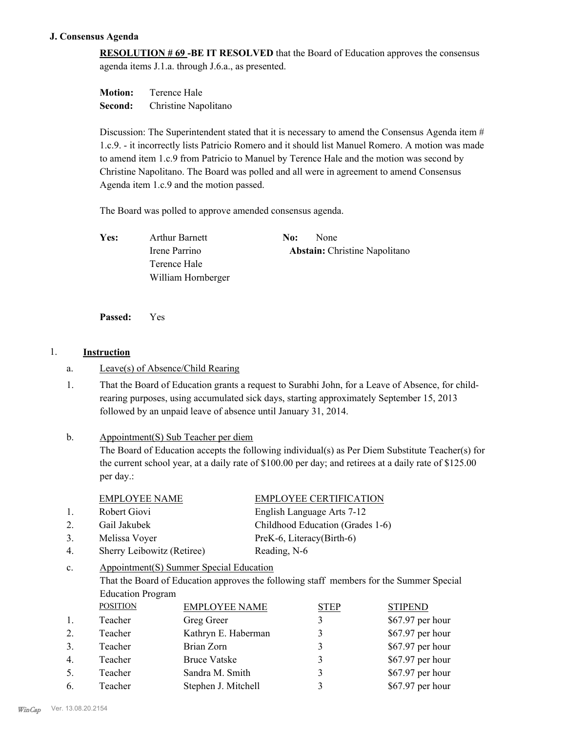### **J. Consensus Agenda**

**RESOLUTION # 69 -BE IT RESOLVED** that the Board of Education approves the consensus agenda items J.1.a. through J.6.a., as presented.

| <b>Motion:</b> | Terence Hale         |
|----------------|----------------------|
| Second:        | Christine Napolitano |

Discussion: The Superintendent stated that it is necessary to amend the Consensus Agenda item  $#$ 1.c.9. - it incorrectly lists Patricio Romero and it should list Manuel Romero. A motion was made to amend item 1.c.9 from Patricio to Manuel by Terence Hale and the motion was second by Christine Napolitano. The Board was polled and all were in agreement to amend Consensus Agenda item 1.c.9 and the motion passed.

The Board was polled to approve amended consensus agenda.

Yes: Arthur Barnett **No:** None Irene Parrino **Abstain:** Christine Napolitano

**Passed:** Yes

### 1. **Instruction**

### a. Leave(s) of Absence/Child Rearing

Terence Hale

William Hornberger

That the Board of Education grants a request to Surabhi John, for a Leave of Absence, for childrearing purposes, using accumulated sick days, starting approximately September 15, 2013 followed by an unpaid leave of absence until January 31, 2014. 1.

### Appointment(S) Sub Teacher per diem b.

The Board of Education accepts the following individual(s) as Per Diem Substitute Teacher(s) for the current school year, at a daily rate of \$100.00 per day; and retirees at a daily rate of \$125.00 per day.:

| EMPLOYEE NAME | <b>EMPLOYEE CERTIFICATION</b> |
|---------------|-------------------------------|
|               |                               |

1. Robert Giovi English Language Arts 7-12

2. Gail Jakubek Childhood Education (Grades 1-6)

- 3. Melissa Voyer PreK-6, Literacy(Birth-6)
- 4. Sherry Leibowitz (Retiree) Reading, N-6

### Appointment(S) Summer Special Education c.

That the Board of Education approves the following staff members for the Summer Special Education Program

|                | <b>POSITION</b> | <b>EMPLOYEE NAME</b> | <b>STEP</b> | <b>STIPEND</b>    |
|----------------|-----------------|----------------------|-------------|-------------------|
| $\mathbf{1}$ . | Teacher         | Greg Greer           |             | \$67.97 per hour  |
| 2.             | Teacher         | Kathryn E. Haberman  |             | \$67.97 per hour  |
| 3.             | Teacher         | Brian Zorn           |             | \$67.97 per hour  |
| $4_{\cdot}$    | Teacher         | <b>Bruce Vatske</b>  |             | \$67.97 per hour  |
| 5.             | Teacher         | Sandra M. Smith      |             | \$67.97 per hour  |
| 6.             | Teacher         | Stephen J. Mitchell  |             | $$67.97$ per hour |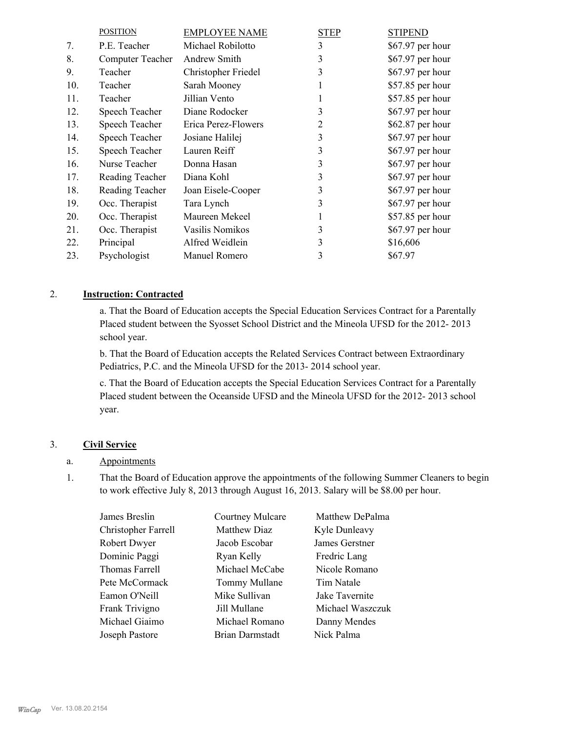|     | <b>POSITION</b>         | <b>EMPLOYEE NAME</b> | <b>STEP</b> | <b>STIPEND</b>   |
|-----|-------------------------|----------------------|-------------|------------------|
| 7.  | P.E. Teacher            | Michael Robilotto    | 3           | \$67.97 per hour |
| 8.  | <b>Computer Teacher</b> | Andrew Smith         | 3           | \$67.97 per hour |
| 9.  | Teacher                 | Christopher Friedel  | 3           | \$67.97 per hour |
| 10. | Teacher                 | Sarah Mooney         |             | \$57.85 per hour |
| 11. | Teacher                 | Jillian Vento        |             | \$57.85 per hour |
| 12. | Speech Teacher          | Diane Rodocker       | 3           | \$67.97 per hour |
| 13. | Speech Teacher          | Erica Perez-Flowers  | 2           | \$62.87 per hour |
| 14. | Speech Teacher          | Josiane Halilej      | 3           | \$67.97 per hour |
| 15. | Speech Teacher          | Lauren Reiff         | 3           | \$67.97 per hour |
| 16. | Nurse Teacher           | Donna Hasan          | 3           | \$67.97 per hour |
| 17. | Reading Teacher         | Diana Kohl           | 3           | \$67.97 per hour |
| 18. | Reading Teacher         | Joan Eisele-Cooper   | 3           | \$67.97 per hour |
| 19. | Occ. Therapist          | Tara Lynch           | 3           | \$67.97 per hour |
| 20. | Occ. Therapist          | Maureen Mekeel       |             | \$57.85 per hour |
| 21. | Occ. Therapist          | Vasilis Nomikos      | 3           | \$67.97 per hour |
| 22. | Principal               | Alfred Weidlein      | 3           | \$16,606         |
| 23. | Psychologist            | Manuel Romero        | 3           | \$67.97          |

### 2. **Instruction: Contracted**

a. That the Board of Education accepts the Special Education Services Contract for a Parentally Placed student between the Syosset School District and the Mineola UFSD for the 2012- 2013 school year.

b. That the Board of Education accepts the Related Services Contract between Extraordinary Pediatrics, P.C. and the Mineola UFSD for the 2013- 2014 school year.

c. That the Board of Education accepts the Special Education Services Contract for a Parentally Placed student between the Oceanside UFSD and the Mineola UFSD for the 2012- 2013 school year.

## 3. **Civil Service**

### a. Appointments

That the Board of Education approve the appointments of the following Summer Cleaners to begin to work effective July 8, 2013 through August 16, 2013. Salary will be \$8.00 per hour. 1.

| James Breslin       | Courtney Mulcare | Matthew DePalma  |
|---------------------|------------------|------------------|
| Christopher Farrell | Matthew Diaz     | Kyle Dunleavy    |
| Robert Dwyer        | Jacob Escobar    | James Gerstner   |
| Dominic Paggi       | Ryan Kelly       | Fredric Lang     |
| Thomas Farrell      | Michael McCabe   | Nicole Romano    |
| Pete McCormack      | Tommy Mullane    | Tim Natale       |
| Eamon O'Neill       | Mike Sullivan    | Jake Tavernite   |
| Frank Trivigno      | Jill Mullane     | Michael Waszczuk |
| Michael Giaimo      | Michael Romano   | Danny Mendes     |
| Joseph Pastore      | Brian Darmstadt  | Nick Palma       |
|                     |                  |                  |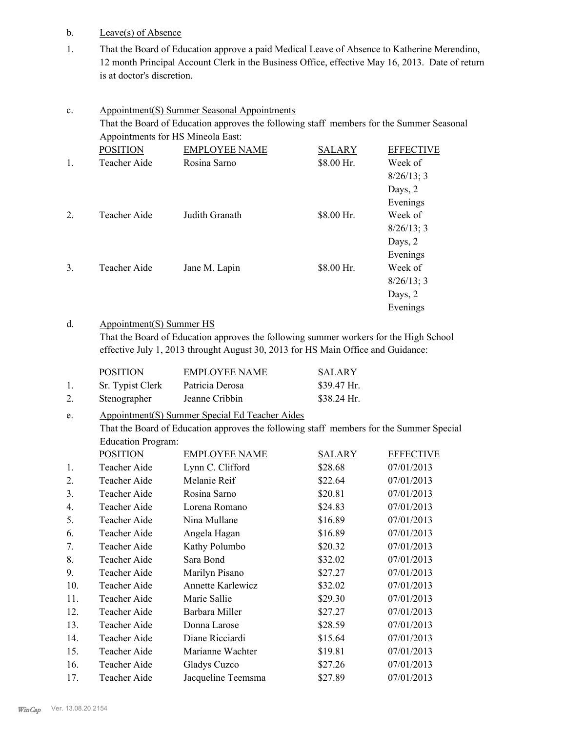- b. Leave(s) of Absence
- That the Board of Education approve a paid Medical Leave of Absence to Katherine Merendino, 12 month Principal Account Clerk in the Business Office, effective May 16, 2013. Date of return is at doctor's discretion. 1.

| $\mathbf{c}$ .   |                                                                                          | <b>Appointment(S) Summer Seasonal Appointments</b> |               |                  |  |  |
|------------------|------------------------------------------------------------------------------------------|----------------------------------------------------|---------------|------------------|--|--|
|                  | That the Board of Education approves the following staff members for the Summer Seasonal |                                                    |               |                  |  |  |
|                  |                                                                                          | Appointments for HS Mineola East:                  |               |                  |  |  |
|                  | <b>POSITION</b>                                                                          | <b>EMPLOYEE NAME</b>                               | <b>SALARY</b> | <b>EFFECTIVE</b> |  |  |
| $\mathbf{1}$ .   | Teacher Aide                                                                             | Rosina Sarno                                       | \$8.00 Hr.    | Week of          |  |  |
|                  |                                                                                          |                                                    |               | 8/26/13; 3       |  |  |
|                  |                                                                                          |                                                    |               | Days, 2          |  |  |
|                  |                                                                                          |                                                    |               | Evenings         |  |  |
| $\overline{2}$ . | Teacher Aide                                                                             | Judith Granath                                     | \$8.00 Hr.    | Week of          |  |  |
|                  |                                                                                          |                                                    |               | $8/26/13$ ; 3    |  |  |
|                  |                                                                                          |                                                    |               | Days, 2          |  |  |
|                  |                                                                                          |                                                    |               | Evenings         |  |  |
| 3.               | Teacher Aide                                                                             | Jane M. Lapin                                      | \$8.00 Hr.    | Week of          |  |  |
|                  |                                                                                          |                                                    |               | 8/26/13; 3       |  |  |
|                  |                                                                                          |                                                    |               | Days, 2          |  |  |
|                  |                                                                                          |                                                    |               | Evenings         |  |  |

### Appointment(S) Summer HS d.

That the Board of Education approves the following summer workers for the High School effective July 1, 2013 throught August 30, 2013 for HS Main Office and Guidance:

|    | <b>POSITION</b>  | <b>EMPLOYEE NAME</b> | SALARY       |
|----|------------------|----------------------|--------------|
|    | Sr. Typist Clerk | Patricia Derosa      | $$39.47$ Hr. |
| 2. | Stenographer     | Jeanne Cribbin       | \$38.24 Hr.  |

### Appointment(S) Summer Special Ed Teacher Aides e.

That the Board of Education approves the following staff members for the Summer Special Education Program:

|     | <b>POSITION</b> | <b>EMPLOYEE NAME</b>     | <b>SALARY</b> | <b>EFFECTIVE</b> |
|-----|-----------------|--------------------------|---------------|------------------|
| 1.  | Teacher Aide    | Lynn C. Clifford         | \$28.68       | 07/01/2013       |
| 2.  | Teacher Aide    | Melanie Reif             | \$22.64       | 07/01/2013       |
| 3.  | Teacher Aide    | Rosina Sarno             | \$20.81       | 07/01/2013       |
| 4.  | Teacher Aide    | Lorena Romano            | \$24.83       | 07/01/2013       |
| 5.  | Teacher Aide    | Nina Mullane             | \$16.89       | 07/01/2013       |
| 6.  | Teacher Aide    | Angela Hagan             | \$16.89       | 07/01/2013       |
| 7.  | Teacher Aide    | Kathy Polumbo            | \$20.32       | 07/01/2013       |
| 8.  | Teacher Aide    | Sara Bond                | \$32.02       | 07/01/2013       |
| 9.  | Teacher Aide    | Marilyn Pisano           | \$27.27       | 07/01/2013       |
| 10. | Teacher Aide    | <b>Annette Karlewicz</b> | \$32.02       | 07/01/2013       |
| 11. | Teacher Aide    | Marie Sallie             | \$29.30       | 07/01/2013       |
| 12. | Teacher Aide    | Barbara Miller           | \$27.27       | 07/01/2013       |
| 13. | Teacher Aide    | Donna Larose             | \$28.59       | 07/01/2013       |
| 14. | Teacher Aide    | Diane Ricciardi          | \$15.64       | 07/01/2013       |
| 15. | Teacher Aide    | Marianne Wachter         | \$19.81       | 07/01/2013       |
| 16. | Teacher Aide    | Gladys Cuzco             | \$27.26       | 07/01/2013       |
| 17. | Teacher Aide    | Jacqueline Teemsma       | \$27.89       | 07/01/2013       |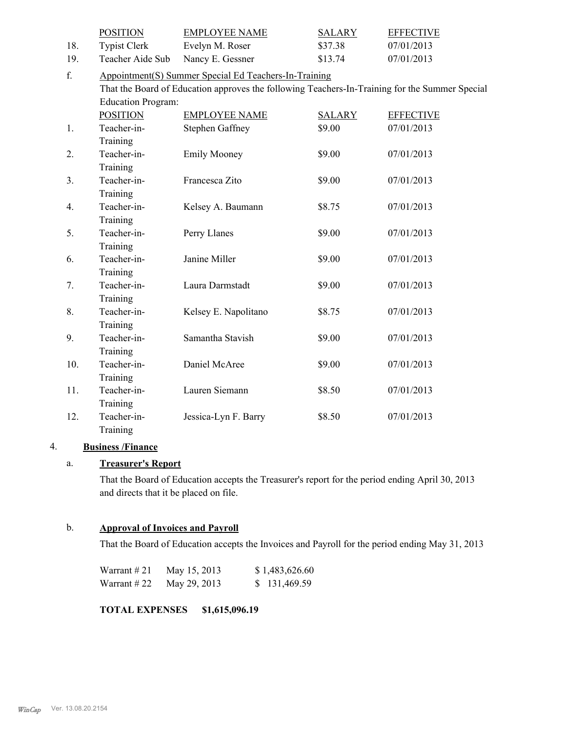|     | <b>POSITION</b>           | <b>EMPLOYEE NAME</b>                                                                           | <b>SALARY</b> | <b>EFFECTIVE</b> |
|-----|---------------------------|------------------------------------------------------------------------------------------------|---------------|------------------|
| 18. | <b>Typist Clerk</b>       | Evelyn M. Roser                                                                                | \$37.38       | 07/01/2013       |
| 19. | Teacher Aide Sub          | Nancy E. Gessner                                                                               | \$13.74       | 07/01/2013       |
| f.  |                           | Appointment(S) Summer Special Ed Teachers-In-Training                                          |               |                  |
|     |                           | That the Board of Education approves the following Teachers-In-Training for the Summer Special |               |                  |
|     | <b>Education Program:</b> |                                                                                                |               |                  |
|     | <b>POSITION</b>           | <b>EMPLOYEE NAME</b>                                                                           | <b>SALARY</b> | <b>EFFECTIVE</b> |
| 1.  | Teacher-in-               | <b>Stephen Gaffney</b>                                                                         | \$9.00        | 07/01/2013       |
|     | Training                  |                                                                                                |               |                  |
| 2.  | Teacher-in-               | <b>Emily Mooney</b>                                                                            | \$9.00        | 07/01/2013       |
|     | Training                  |                                                                                                |               |                  |
| 3.  | Teacher-in-               | Francesca Zito                                                                                 | \$9.00        | 07/01/2013       |
|     | Training                  |                                                                                                |               |                  |
| 4.  | Teacher-in-               | Kelsey A. Baumann                                                                              | \$8.75        | 07/01/2013       |
|     | Training                  |                                                                                                |               |                  |
| 5.  | Teacher-in-               | Perry Llanes                                                                                   | \$9.00        | 07/01/2013       |
|     | Training                  |                                                                                                |               |                  |
| 6.  | Teacher-in-               | Janine Miller                                                                                  | \$9.00        | 07/01/2013       |
|     | Training                  |                                                                                                |               |                  |
| 7.  | Teacher-in-               | Laura Darmstadt                                                                                | \$9.00        | 07/01/2013       |
|     | Training                  |                                                                                                |               |                  |
| 8.  | Teacher-in-               | Kelsey E. Napolitano                                                                           | \$8.75        | 07/01/2013       |
|     | Training                  |                                                                                                |               |                  |
| 9.  | Teacher-in-               | Samantha Stavish                                                                               | \$9.00        | 07/01/2013       |
|     | Training                  |                                                                                                |               |                  |
| 10. | Teacher-in-               | Daniel McAree                                                                                  | \$9.00        | 07/01/2013       |
|     | Training                  |                                                                                                |               |                  |
| 11. | Teacher-in-               | Lauren Siemann                                                                                 | \$8.50        | 07/01/2013       |
|     | Training                  |                                                                                                |               |                  |
| 12. | Teacher-in-               | Jessica-Lyn F. Barry                                                                           | \$8.50        | 07/01/2013       |
|     | Training                  |                                                                                                |               |                  |

### 4. **Business /Finance**

# a. **Treasurer's Report**

That the Board of Education accepts the Treasurer's report for the period ending April 30, 2013 and directs that it be placed on file.

### b. **Approval of Invoices and Payroll**

That the Board of Education accepts the Invoices and Payroll for the period ending May 31, 2013

| Warrant $#21$ | May 15, 2013 | \$1,483,626.60 |
|---------------|--------------|----------------|
| Warrant $#22$ | May 29, 2013 | \$131,469.59   |

**TOTAL EXPENSES \$1,615,096.19**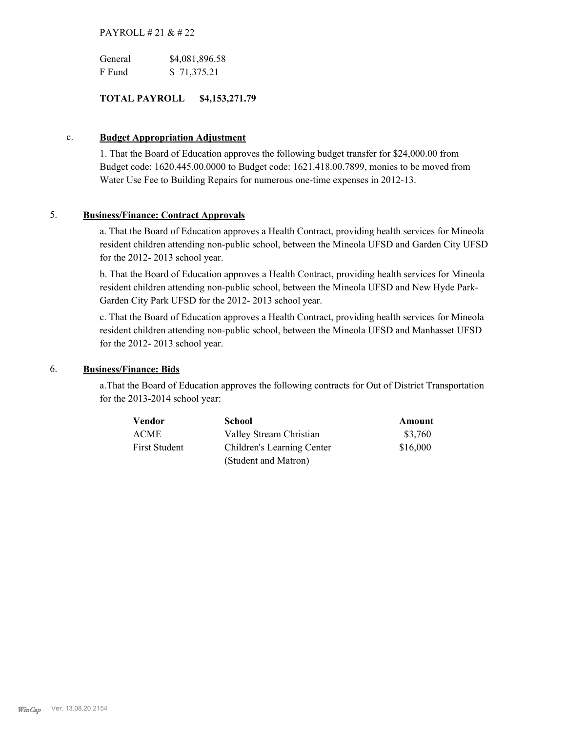## PAYROLL # 21 & # 22

| General | \$4,081,896.58 |
|---------|----------------|
| F Fund  | \$71,375.21    |

## **TOTAL PAYROLL \$4,153,271.79**

### c. **Budget Appropriation Adjustment**

1. That the Board of Education approves the following budget transfer for \$24,000.00 from Budget code: 1620.445.00.0000 to Budget code: 1621.418.00.7899, monies to be moved from Water Use Fee to Building Repairs for numerous one-time expenses in 2012-13.

### 5. **Business/Finance: Contract Approvals**

a. That the Board of Education approves a Health Contract, providing health services for Mineola resident children attending non-public school, between the Mineola UFSD and Garden City UFSD for the 2012- 2013 school year.

b. That the Board of Education approves a Health Contract, providing health services for Mineola resident children attending non-public school, between the Mineola UFSD and New Hyde Park-Garden City Park UFSD for the 2012- 2013 school year.

c. That the Board of Education approves a Health Contract, providing health services for Mineola resident children attending non-public school, between the Mineola UFSD and Manhasset UFSD for the 2012- 2013 school year.

### 6. **Business/Finance: Bids**

a.That the Board of Education approves the following contracts for Out of District Transportation for the 2013-2014 school year:

| Vendor               | <b>School</b>              | Amount   |
|----------------------|----------------------------|----------|
| <b>ACME</b>          | Valley Stream Christian    | \$3,760  |
| <b>First Student</b> | Children's Learning Center | \$16,000 |
|                      | (Student and Matron)       |          |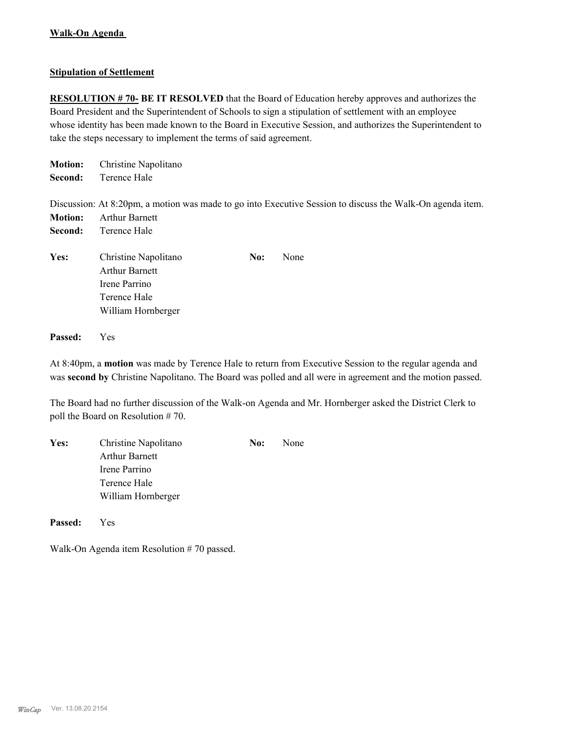## **Stipulation of Settlement**

**RESOLUTION # 70- BE IT RESOLVED** that the Board of Education hereby approves and authorizes the Board President and the Superintendent of Schools to sign a stipulation of settlement with an employee whose identity has been made known to the Board in Executive Session, and authorizes the Superintendent to take the steps necessary to implement the terms of said agreement.

| <b>Motion:</b><br>Second: | Christine Napolitano<br>Terence Hale                                                                        |                                                                                                           |
|---------------------------|-------------------------------------------------------------------------------------------------------------|-----------------------------------------------------------------------------------------------------------|
| <b>Motion:</b><br>Second: | <b>Arthur Barnett</b><br>Terence Hale                                                                       | Discussion: At 8:20pm, a motion was made to go into Executive Session to discuss the Walk-On agenda item. |
| Yes:                      | Christine Napolitano<br>No:<br><b>Arthur Barnett</b><br>Irene Parrino<br>Terence Hale<br>William Hornberger | None                                                                                                      |

**Passed:** Yes

At 8:40pm, a **motion** was made by Terence Hale to return from Executive Session to the regular agenda and was **second by** Christine Napolitano. The Board was polled and all were in agreement and the motion passed.

The Board had no further discussion of the Walk-on Agenda and Mr. Hornberger asked the District Clerk to poll the Board on Resolution # 70.

| Yes: | Christine Napolitano  | No: | None |
|------|-----------------------|-----|------|
|      | <b>Arthur Barnett</b> |     |      |
|      | Irene Parrino         |     |      |
|      | Terence Hale          |     |      |
|      | William Hornberger    |     |      |
|      |                       |     |      |

**Passed:** Yes

Walk-On Agenda item Resolution # 70 passed.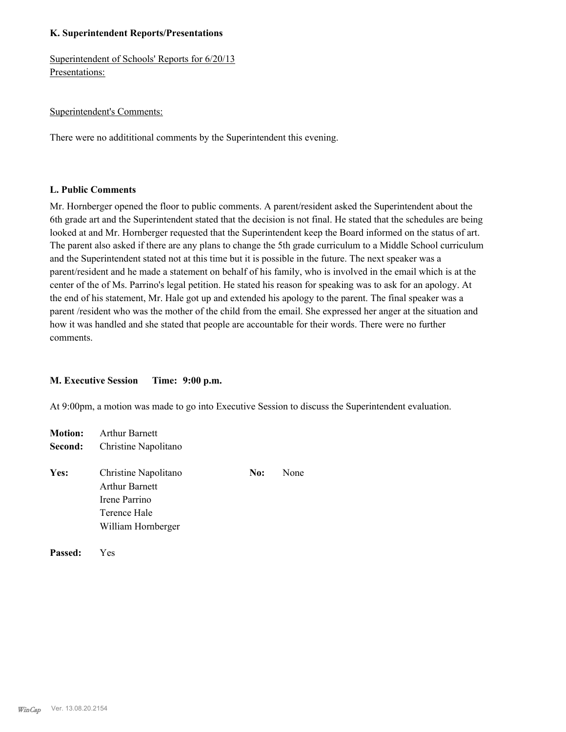### **K. Superintendent Reports/Presentations**

Superintendent of Schools' Reports for 6/20/13 Presentations:

### Superintendent's Comments:

There were no addititional comments by the Superintendent this evening.

### **L. Public Comments**

Mr. Hornberger opened the floor to public comments. A parent/resident asked the Superintendent about the 6th grade art and the Superintendent stated that the decision is not final. He stated that the schedules are being looked at and Mr. Hornberger requested that the Superintendent keep the Board informed on the status of art. The parent also asked if there are any plans to change the 5th grade curriculum to a Middle School curriculum and the Superintendent stated not at this time but it is possible in the future. The next speaker was a parent/resident and he made a statement on behalf of his family, who is involved in the email which is at the center of the of Ms. Parrino's legal petition. He stated his reason for speaking was to ask for an apology. At the end of his statement, Mr. Hale got up and extended his apology to the parent. The final speaker was a parent /resident who was the mother of the child from the email. She expressed her anger at the situation and how it was handled and she stated that people are accountable for their words. There were no further comments.

### **M. Executive Session Time: 9:00 p.m.**

At 9:00pm, a motion was made to go into Executive Session to discuss the Superintendent evaluation.

| <b>Motion:</b> | <b>Arthur Barnett</b>                                                                                |     |      |  |  |
|----------------|------------------------------------------------------------------------------------------------------|-----|------|--|--|
| Second:        | Christine Napolitano                                                                                 |     |      |  |  |
| Yes:           | Christine Napolitano<br><b>Arthur Barnett</b><br>Irene Parrino<br>Terence Hale<br>William Hornberger | No: | None |  |  |
|                |                                                                                                      |     |      |  |  |

**Passed:** Yes